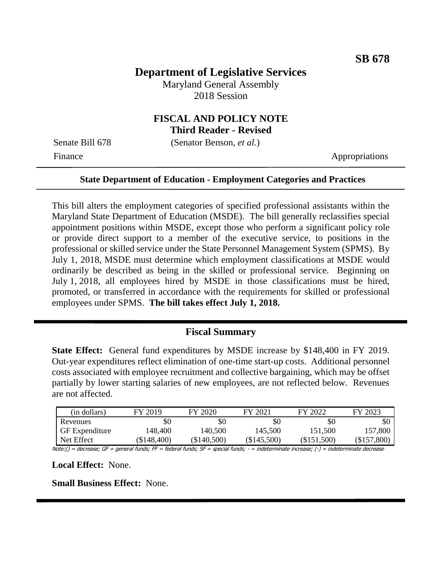# **Department of Legislative Services**

Maryland General Assembly 2018 Session

#### **FISCAL AND POLICY NOTE Third Reader - Revised**

Senate Bill 678 (Senator Benson, *et al.*)

Finance Appropriations

#### **State Department of Education - Employment Categories and Practices**

This bill alters the employment categories of specified professional assistants within the Maryland State Department of Education (MSDE). The bill generally reclassifies special appointment positions within MSDE, except those who perform a significant policy role or provide direct support to a member of the executive service, to positions in the professional or skilled service under the State Personnel Management System (SPMS). By July 1, 2018, MSDE must determine which employment classifications at MSDE would ordinarily be described as being in the skilled or professional service. Beginning on July 1, 2018, all employees hired by MSDE in those classifications must be hired, promoted, or transferred in accordance with the requirements for skilled or professional employees under SPMS. **The bill takes effect July 1, 2018.**

#### **Fiscal Summary**

**State Effect:** General fund expenditures by MSDE increase by \$148,400 in FY 2019. Out-year expenditures reflect elimination of one-time start-up costs. Additional personnel costs associated with employee recruitment and collective bargaining, which may be offset partially by lower starting salaries of new employees, are not reflected below. Revenues are not affected.

| (in dollars)          | FY 2019     | FY 2020       | FY 2021       | FY 2022       | FY 2023       |
|-----------------------|-------------|---------------|---------------|---------------|---------------|
| Revenues              | \$0         | \$0           | \$0           | \$0           | \$0           |
| <b>GF</b> Expenditure | 148,400     | 140,500       | 145,500       | 151,500       | 157,800       |
| Net Effect            | (\$148,400) | $(\$140,500)$ | $(\$145,500)$ | $(\$151,500)$ | $(\$157,800)$ |
| .<br>$-$              | .<br>$ -$   | . .<br>$ -$   | .             | .             |               |

Note:() = decrease; GF = general funds; FF = federal funds; SF = special funds; - = indeterminate increase; (-) = indeterminate decrease

**Local Effect:** None.

**Small Business Effect:** None.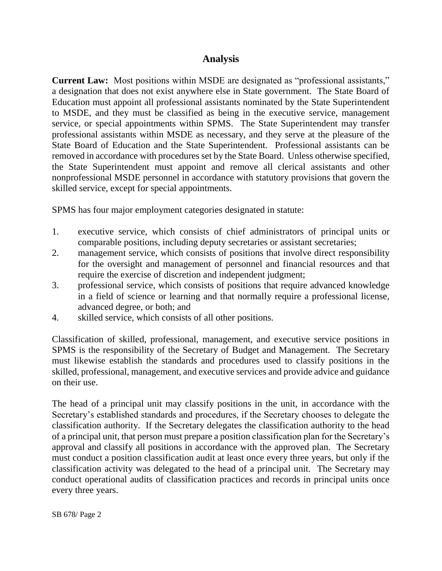### **Analysis**

**Current Law:** Most positions within MSDE are designated as "professional assistants," a designation that does not exist anywhere else in State government. The State Board of Education must appoint all professional assistants nominated by the State Superintendent to MSDE, and they must be classified as being in the executive service, management service, or special appointments within SPMS. The State Superintendent may transfer professional assistants within MSDE as necessary, and they serve at the pleasure of the State Board of Education and the State Superintendent. Professional assistants can be removed in accordance with procedures set by the State Board. Unless otherwise specified, the State Superintendent must appoint and remove all clerical assistants and other nonprofessional MSDE personnel in accordance with statutory provisions that govern the skilled service, except for special appointments.

SPMS has four major employment categories designated in statute:

- 1. executive service, which consists of chief administrators of principal units or comparable positions, including deputy secretaries or assistant secretaries;
- 2. management service, which consists of positions that involve direct responsibility for the oversight and management of personnel and financial resources and that require the exercise of discretion and independent judgment;
- 3. professional service, which consists of positions that require advanced knowledge in a field of science or learning and that normally require a professional license, advanced degree, or both; and
- 4. skilled service, which consists of all other positions.

Classification of skilled, professional, management, and executive service positions in SPMS is the responsibility of the Secretary of Budget and Management. The Secretary must likewise establish the standards and procedures used to classify positions in the skilled, professional, management, and executive services and provide advice and guidance on their use.

The head of a principal unit may classify positions in the unit, in accordance with the Secretary's established standards and procedures, if the Secretary chooses to delegate the classification authority. If the Secretary delegates the classification authority to the head of a principal unit, that person must prepare a position classification plan for the Secretary's approval and classify all positions in accordance with the approved plan. The Secretary must conduct a position classification audit at least once every three years, but only if the classification activity was delegated to the head of a principal unit. The Secretary may conduct operational audits of classification practices and records in principal units once every three years.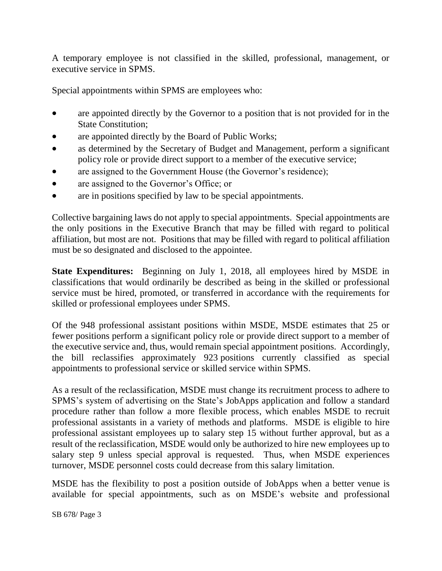A temporary employee is not classified in the skilled, professional, management, or executive service in SPMS.

Special appointments within SPMS are employees who:

- are appointed directly by the Governor to a position that is not provided for in the State Constitution;
- are appointed directly by the Board of Public Works;
- as determined by the Secretary of Budget and Management, perform a significant policy role or provide direct support to a member of the executive service;
- are assigned to the Government House (the Governor's residence);
- are assigned to the Governor's Office; or
- are in positions specified by law to be special appointments.

Collective bargaining laws do not apply to special appointments. Special appointments are the only positions in the Executive Branch that may be filled with regard to political affiliation, but most are not. Positions that may be filled with regard to political affiliation must be so designated and disclosed to the appointee.

**State Expenditures:** Beginning on July 1, 2018, all employees hired by MSDE in classifications that would ordinarily be described as being in the skilled or professional service must be hired, promoted, or transferred in accordance with the requirements for skilled or professional employees under SPMS.

Of the 948 professional assistant positions within MSDE, MSDE estimates that 25 or fewer positions perform a significant policy role or provide direct support to a member of the executive service and, thus, would remain special appointment positions. Accordingly, the bill reclassifies approximately 923 positions currently classified as special appointments to professional service or skilled service within SPMS.

As a result of the reclassification, MSDE must change its recruitment process to adhere to SPMS's system of advertising on the State's JobApps application and follow a standard procedure rather than follow a more flexible process, which enables MSDE to recruit professional assistants in a variety of methods and platforms. MSDE is eligible to hire professional assistant employees up to salary step 15 without further approval, but as a result of the reclassification, MSDE would only be authorized to hire new employees up to salary step 9 unless special approval is requested. Thus, when MSDE experiences turnover, MSDE personnel costs could decrease from this salary limitation.

MSDE has the flexibility to post a position outside of JobApps when a better venue is available for special appointments, such as on MSDE's website and professional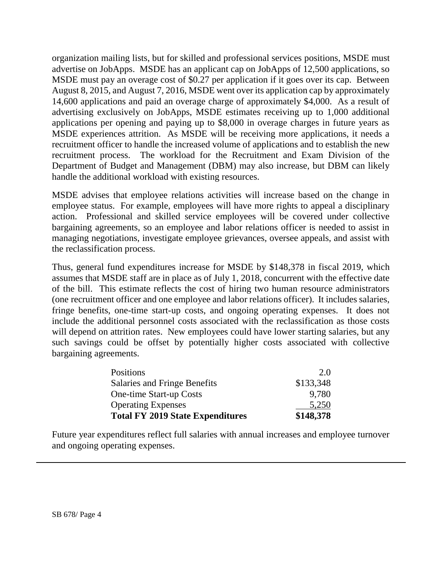organization mailing lists, but for skilled and professional services positions, MSDE must advertise on JobApps. MSDE has an applicant cap on JobApps of 12,500 applications, so MSDE must pay an overage cost of \$0.27 per application if it goes over its cap. Between August 8, 2015, and August 7, 2016, MSDE went over its application cap by approximately 14,600 applications and paid an overage charge of approximately \$4,000. As a result of advertising exclusively on JobApps, MSDE estimates receiving up to 1,000 additional applications per opening and paying up to \$8,000 in overage charges in future years as MSDE experiences attrition. As MSDE will be receiving more applications, it needs a recruitment officer to handle the increased volume of applications and to establish the new recruitment process. The workload for the Recruitment and Exam Division of the Department of Budget and Management (DBM) may also increase, but DBM can likely handle the additional workload with existing resources.

MSDE advises that employee relations activities will increase based on the change in employee status. For example, employees will have more rights to appeal a disciplinary action. Professional and skilled service employees will be covered under collective bargaining agreements, so an employee and labor relations officer is needed to assist in managing negotiations, investigate employee grievances, oversee appeals, and assist with the reclassification process.

Thus, general fund expenditures increase for MSDE by \$148,378 in fiscal 2019, which assumes that MSDE staff are in place as of July 1, 2018, concurrent with the effective date of the bill. This estimate reflects the cost of hiring two human resource administrators (one recruitment officer and one employee and labor relations officer). It includes salaries, fringe benefits, one-time start-up costs, and ongoing operating expenses. It does not include the additional personnel costs associated with the reclassification as those costs will depend on attrition rates. New employees could have lower starting salaries, but any such savings could be offset by potentially higher costs associated with collective bargaining agreements.

| Positions                               | 2.0       |
|-----------------------------------------|-----------|
| Salaries and Fringe Benefits            | \$133,348 |
| <b>One-time Start-up Costs</b>          | 9,780     |
| <b>Operating Expenses</b>               | 5,250     |
| <b>Total FY 2019 State Expenditures</b> | \$148,378 |

Future year expenditures reflect full salaries with annual increases and employee turnover and ongoing operating expenses.